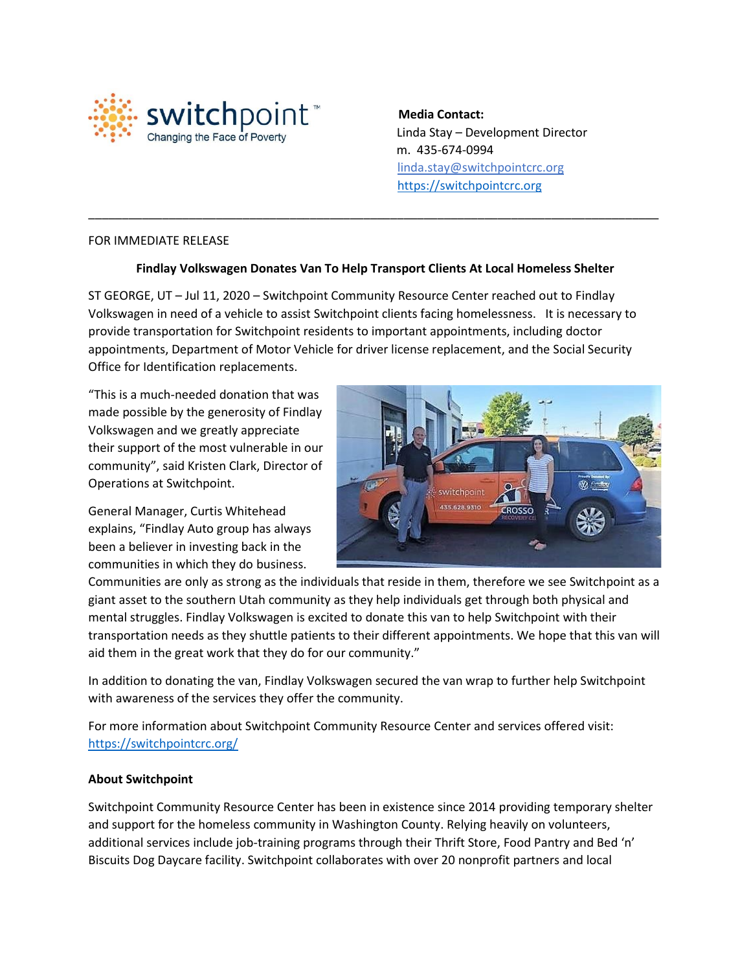

 **Media Contact:** Linda Stay – Development Director m. 435-674-0994 linda.stay@switchpointcrc.org [https://switchpointcrc.org](https://switchpointcrc.org/)

## FOR IMMEDIATE RELEASE

## **Findlay Volkswagen Donates Van To Help Transport Clients At Local Homeless Shelter**

\_\_\_\_\_\_\_\_\_\_\_\_\_\_\_\_\_\_\_\_\_\_\_\_\_\_\_\_\_\_\_\_\_\_\_\_\_\_\_\_\_\_\_\_\_\_\_\_\_\_\_\_\_\_\_\_\_\_\_\_\_\_\_\_\_\_\_\_\_\_\_\_\_\_\_\_\_\_\_\_\_\_\_\_\_

ST GEORGE, UT – Jul 11, 2020 – Switchpoint Community Resource Center reached out to Findlay Volkswagen in need of a vehicle to assist Switchpoint clients facing homelessness. It is necessary to provide transportation for Switchpoint residents to important appointments, including doctor appointments, Department of Motor Vehicle for driver license replacement, and the Social Security Office for Identification replacements.

"This is a much-needed donation that was made possible by the generosity of Findlay Volkswagen and we greatly appreciate their support of the most vulnerable in our community", said Kristen Clark, Director of Operations at Switchpoint.

General Manager, Curtis Whitehead explains, "Findlay Auto group has always been a believer in investing back in the communities in which they do business.



Communities are only as strong as the individuals that reside in them, therefore we see Switchpoint as a giant asset to the southern Utah community as they help individuals get through both physical and mental struggles. Findlay Volkswagen is excited to donate this van to help Switchpoint with their transportation needs as they shuttle patients to their different appointments. We hope that this van will aid them in the great work that they do for our community."

In addition to donating the van, Findlay Volkswagen secured the van wrap to further help Switchpoint with awareness of the services they offer the community.

For more information about Switchpoint Community Resource Center and services offered visit: <https://switchpointcrc.org/>

## **About Switchpoint**

Switchpoint Community Resource Center has been in existence since 2014 providing temporary shelter and support for the homeless community in Washington County. Relying heavily on volunteers, additional services include job-training programs through their Thrift Store, Food Pantry and Bed 'n' Biscuits Dog Daycare facility. Switchpoint collaborates with over 20 nonprofit partners and local